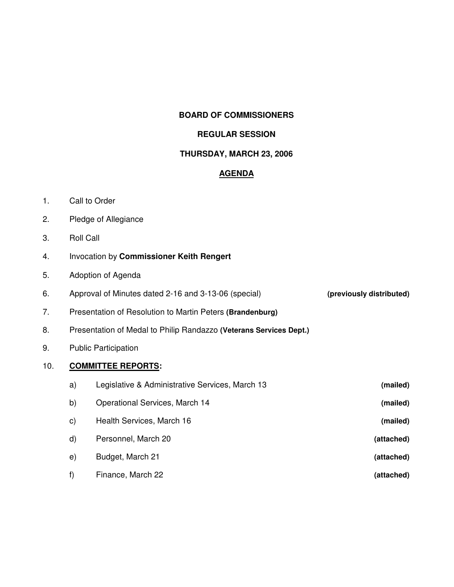### **BOARD OF COMMISSIONERS**

#### **REGULAR SESSION**

## **THURSDAY, MARCH 23, 2006**

## **AGENDA**

- 1. Call to Order
- 2. Pledge of Allegiance
- 3. Roll Call
- 4. Invocation by **Commissioner Keith Rengert**
- 5. Adoption of Agenda

| Approval of Minutes dated 2-16 and 3-13-06 (special)      | (previously distributed) |
|-----------------------------------------------------------|--------------------------|
| Presentation of Resolution to Martin Peters (Brandenburg) |                          |

- 8. Presentation of Medal to Philip Randazzo **(Veterans Services Dept.)**
- 9. Public Participation

### 10. **COMMITTEE REPORTS:**

| (mailed)   | Legislative & Administrative Services, March 13 | a) |
|------------|-------------------------------------------------|----|
| (mailed)   | Operational Services, March 14                  | b) |
| (mailed)   | Health Services, March 16                       | C) |
| (attached) | Personnel, March 20                             | d) |
| (attached) | Budget, March 21                                | e) |
| (attached) | Finance, March 22                               | f) |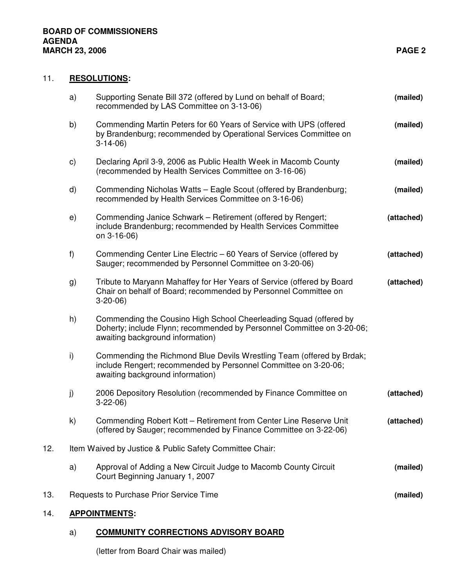### 11. **RESOLUTIONS:**

|     | a)            | Supporting Senate Bill 372 (offered by Lund on behalf of Board;<br>recommended by LAS Committee on 3-13-06)                                                                     | (mailed)   |
|-----|---------------|---------------------------------------------------------------------------------------------------------------------------------------------------------------------------------|------------|
|     | b)            | Commending Martin Peters for 60 Years of Service with UPS (offered<br>by Brandenburg; recommended by Operational Services Committee on<br>$3-14-06$                             | (mailed)   |
|     | $\mathsf{c})$ | Declaring April 3-9, 2006 as Public Health Week in Macomb County<br>(recommended by Health Services Committee on 3-16-06)                                                       | (mailed)   |
|     | d)            | Commending Nicholas Watts - Eagle Scout (offered by Brandenburg;<br>recommended by Health Services Committee on 3-16-06)                                                        | (mailed)   |
|     | e)            | Commending Janice Schwark – Retirement (offered by Rengert;<br>include Brandenburg; recommended by Health Services Committee<br>on 3-16-06)                                     | (attached) |
|     | f)            | Commending Center Line Electric – 60 Years of Service (offered by<br>Sauger; recommended by Personnel Committee on 3-20-06)                                                     | (attached) |
|     | g)            | Tribute to Maryann Mahaffey for Her Years of Service (offered by Board<br>Chair on behalf of Board; recommended by Personnel Committee on<br>$3-20-06$                          | (attached) |
|     | h)            | Commending the Cousino High School Cheerleading Squad (offered by<br>Doherty; include Flynn; recommended by Personnel Committee on 3-20-06;<br>awaiting background information) |            |
|     | i)            | Commending the Richmond Blue Devils Wrestling Team (offered by Brdak;<br>include Rengert; recommended by Personnel Committee on 3-20-06;<br>awaiting background information)    |            |
|     | j)            | 2006 Depository Resolution (recommended by Finance Committee on<br>$3-22-06$                                                                                                    | (attached) |
|     | $\mathsf{k}$  | Commending Robert Kott - Retirement from Center Line Reserve Unit<br>(offered by Sauger; recommended by Finance Committee on 3-22-06)                                           | (attached) |
| 12. |               | Item Waived by Justice & Public Safety Committee Chair:                                                                                                                         |            |
|     | a)            | Approval of Adding a New Circuit Judge to Macomb County Circuit<br>Court Beginning January 1, 2007                                                                              | (mailed)   |
| 13. |               | Requests to Purchase Prior Service Time                                                                                                                                         | (mailed)   |
|     |               | <b>DDAILITHELITA</b>                                                                                                                                                            |            |

# 14. **APPOINTMENTS:**

### a) **COMMUNITY CORRECTIONS ADVISORY BOARD**

(letter from Board Chair was mailed)